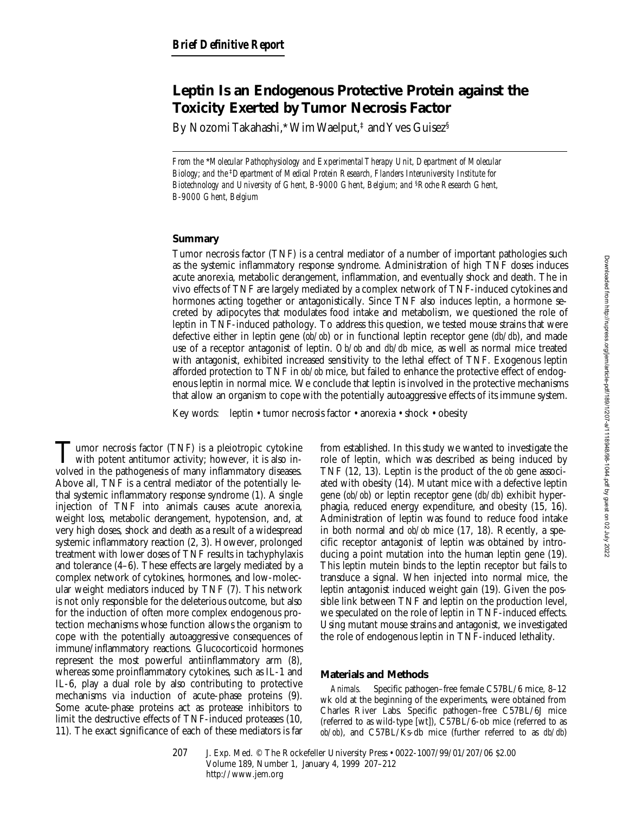# **Leptin Is an Endogenous Protective Protein against the Toxicity Exerted by Tumor Necrosis Factor**

By Nozomi Takahashi,\*Wim Waelput,<sup>‡</sup> and Yves Guisez<sup>§</sup>

*From the* \**Molecular Pathophysiology and Experimental Therapy Unit, Department of Molecular Biology; and the* ‡*Department of Medical Protein Research, Flanders Interuniversity Institute for Biotechnology and University of Ghent, B-9000 Ghent, Belgium; and* §*Roche Research Ghent, B-9000 Ghent, Belgium*

## **Summary**

Tumor necrosis factor (TNF) is a central mediator of a number of important pathologies such as the systemic inflammatory response syndrome. Administration of high TNF doses induces acute anorexia, metabolic derangement, inflammation, and eventually shock and death. The in vivo effects of TNF are largely mediated by a complex network of TNF-induced cytokines and hormones acting together or antagonistically. Since TNF also induces leptin, a hormone secreted by adipocytes that modulates food intake and metabolism, we questioned the role of leptin in TNF-induced pathology. To address this question, we tested mouse strains that were defective either in leptin gene (*ob/ob*) or in functional leptin receptor gene (*db/db*), and made use of a receptor antagonist of leptin. *Ob/ob* and *db/db* mice, as well as normal mice treated with antagonist, exhibited increased sensitivity to the lethal effect of TNF. Exogenous leptin afforded protection to TNF in *ob/ob* mice, but failed to enhance the protective effect of endogenous leptin in normal mice. We conclude that leptin is involved in the protective mechanisms that allow an organism to cope with the potentially autoaggressive effects of its immune system.

Key words: leptin • tumor necrosis factor • anorexia • shock • obesity

Tumor necrosis factor (TNF) is a pleiotropic cytokine<br>with potent antitumor activity; however, it is also involved in the pathogenesis of many inflammatory diseases. Above all, TNF is a central mediator of the potentially lethal systemic inflammatory response syndrome (1). A single injection of TNF into animals causes acute anorexia, weight loss, metabolic derangement, hypotension, and, at very high doses, shock and death as a result of a widespread systemic inflammatory reaction (2, 3). However, prolonged treatment with lower doses of TNF results in tachyphylaxis and tolerance (4–6). These effects are largely mediated by a complex network of cytokines, hormones, and low-molecular weight mediators induced by TNF (7). This network is not only responsible for the deleterious outcome, but also for the induction of often more complex endogenous protection mechanisms whose function allows the organism to cope with the potentially autoaggressive consequences of immune/inflammatory reactions. Glucocorticoid hormones represent the most powerful antiinflammatory arm (8), whereas some proinflammatory cytokines, such as IL-1 and IL-6, play a dual role by also contributing to protective mechanisms via induction of acute-phase proteins (9). Some acute-phase proteins act as protease inhibitors to limit the destructive effects of TNF-induced proteases (10, 11). The exact significance of each of these mediators is far

from established. In this study we wanted to investigate the role of leptin, which was described as being induced by TNF (12, 13). Leptin is the product of the *ob* gene associated with obesity (14). Mutant mice with a defective leptin gene (*ob/ob*) or leptin receptor gene (*db/db*) exhibit hyperphagia, reduced energy expenditure, and obesity (15, 16). Administration of leptin was found to reduce food intake in both normal and *ob/ob* mice (17, 18). Recently, a specific receptor antagonist of leptin was obtained by introducing a point mutation into the human leptin gene (19). This leptin mutein binds to the leptin receptor but fails to transduce a signal. When injected into normal mice, the leptin antagonist induced weight gain (19). Given the possible link between TNF and leptin on the production level, we speculated on the role of leptin in TNF-induced effects. Using mutant mouse strains and antagonist, we investigated the role of endogenous leptin in TNF-induced lethality.

## **Materials and Methods**

*Animals.* Specific pathogen–free female C57BL/6 mice, 8–12 wk old at the beginning of the experiments, were obtained from Charles River Labs. Specific pathogen–free C57BL/6J mice (referred to as wild-type [wt]), C57BL/6-ob mice (referred to as *ob/ob*), and C57BL/Ks-db mice (further referred to as *db/db*)

207 J. Exp. Med. © The Rockefeller University Press • 0022-1007/99/01/207/06 \$2.00 Volume 189, Number 1, January 4, 1999 207–212 http://www.jem.org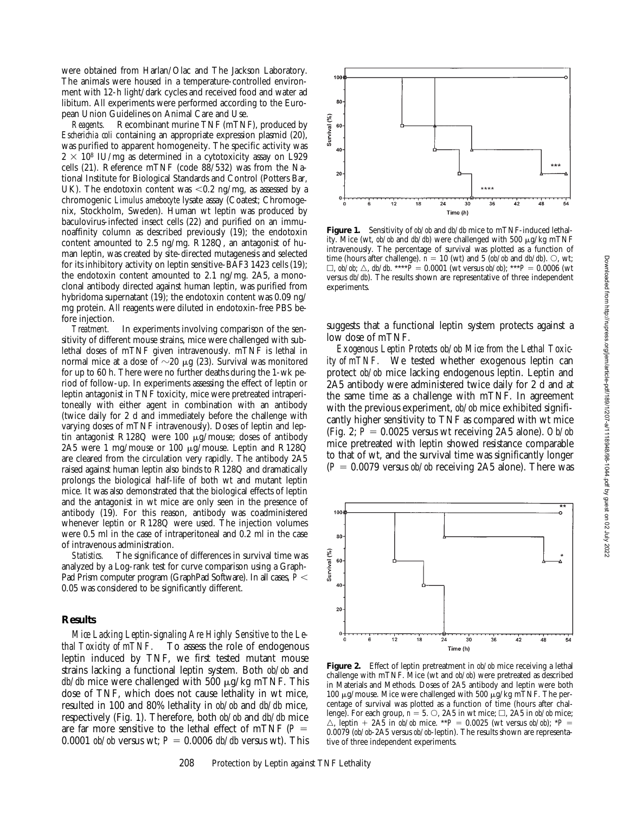were obtained from Harlan/Olac and The Jackson Laboratory. The animals were housed in a temperature-controlled environment with 12-h light/dark cycles and received food and water ad libitum. All experiments were performed according to the European Union Guidelines on Animal Care and Use.

*Reagents.* Recombinant murine TNF (mTNF), produced by *Escherichia coli* containing an appropriate expression plasmid (20), was purified to apparent homogeneity. The specific activity was  $2 \times 10^8$  IU/mg as determined in a cytotoxicity assay on L929 cells (21). Reference mTNF (code 88/532) was from the National Institute for Biological Standards and Control (Potters Bar, UK). The endotoxin content was  $< 0.2$  ng/mg, as assessed by a chromogenic *Limulus amebocyte* lysate assay (Coatest; Chromogenix, Stockholm, Sweden). Human wt leptin was produced by baculovirus-infected insect cells (22) and purified on an immunoaffinity column as described previously (19); the endotoxin content amounted to 2.5 ng/mg. R128Q, an antagonist of human leptin, was created by site-directed mutagenesis and selected for its inhibitory activity on leptin sensitive-BAF3 1423 cells (19); the endotoxin content amounted to 2.1 ng/mg. 2A5, a monoclonal antibody directed against human leptin, was purified from hybridoma supernatant (19); the endotoxin content was 0.09 ng/ mg protein. All reagents were diluted in endotoxin-free PBS before injection.

*Treatment.* In experiments involving comparison of the sensitivity of different mouse strains, mice were challenged with sublethal doses of mTNF given intravenously. mTNF is lethal in normal mice at a dose of  $\sim$ 20  $\mu$ g (23). Survival was monitored for up to 60 h. There were no further deaths during the 1-wk period of follow-up. In experiments assessing the effect of leptin or leptin antagonist in TNF toxicity, mice were pretreated intraperitoneally with either agent in combination with an antibody (twice daily for 2 d and immediately before the challenge with varying doses of mTNF intravenously). Doses of leptin and leptin antagonist R128Q were 100 µg/mouse; doses of antibody 2A5 were 1 mg/mouse or 100 µg/mouse. Leptin and R128Q are cleared from the circulation very rapidly. The antibody 2A5 raised against human leptin also binds to R128Q and dramatically prolongs the biological half-life of both wt and mutant leptin mice. It was also demonstrated that the biological effects of leptin and the antagonist in wt mice are only seen in the presence of antibody (19). For this reason, antibody was coadministered whenever leptin or R128Q were used. The injection volumes were 0.5 ml in the case of intraperitoneal and 0.2 ml in the case of intravenous administration.

*Statistics.* The significance of differences in survival time was analyzed by a Log-rank test for curve comparison using a Graph-Pad Prism computer program (GraphPad Software). In all cases,  $P$  < 0.05 was considered to be significantly different.

#### **Results**

*Mice Lacking Leptin-signaling Are Highly Sensitive to the Lethal Toxicity of mTNF.* To assess the role of endogenous leptin induced by TNF, we first tested mutant mouse strains lacking a functional leptin system. Both *ob/ob* and  $db/db$  mice were challenged with 500  $\mu$ g/kg mTNF. This dose of TNF, which does not cause lethality in wt mice, resulted in 100 and 80% lethality in *ob/ob* and *db/db* mice, respectively (Fig. 1). Therefore, both *ob/ob* and *db/db* mice are far more sensitive to the lethal effect of mTNF ( $P =$ 0.0001 *ob/ob* versus wt;  $P = 0.0006$  *db/db* versus wt). This



**Figure 1.** Sensitivity of *ob/ob* and *db/db* mice to mTNF-induced lethality. Mice (wt, *ob/ob* and *db/db*) were challenged with 500 μg/kg mTNF intravenously. The percentage of survival was plotted as a function of time (hours after challenge).  $n = 10$  (wt) and 5 ( $ob/ob$  and  $db/db$ ).  $\bigcirc$ , wt;  $\Box$ , *ob/ob*;  $\triangle$ , *db/db*. \*\*\*\**P* = 0.0001 (wt versus *ob/ob*); \*\*\**P* = 0.0006 (wt versus *db/db*). The results shown are representative of three independent experiments.

suggests that a functional leptin system protects against a low dose of mTNF.

*Exogenous Leptin Protects ob/ob Mice from the Lethal Toxicity of mTNF.* We tested whether exogenous leptin can protect *ob/ob* mice lacking endogenous leptin. Leptin and 2A5 antibody were administered twice daily for 2 d and at the same time as a challenge with mTNF. In agreement with the previous experiment, *ob/ob* mice exhibited significantly higher sensitivity to TNF as compared with wt mice (Fig. 2;  $P = 0.0025$  versus wt receiving 2A5 alone). *Ob/ob* mice pretreated with leptin showed resistance comparable to that of wt, and the survival time was significantly longer  $(P = 0.0079$  versus *ob/ob* receiving 2A5 alone). There was



**Figure 2.** Effect of leptin pretreatment in *ob/ob* mice receiving a lethal challenge with mTNF. Mice (wt and *ob/ob*) were pretreated as described in Materials and Methods. Doses of 2A5 antibody and leptin were both 100  $\mu$ g/mouse. Mice were challenged with 500  $\mu$ g/kg mTNF. The percentage of survival was plotted as a function of time (hours after challenge). For each group,  $\hat{n} = 5$ .  $\circlearrowright$ , 2A5 in wt mice;  $\Box$ , 2A5 in *ob/ob* mice;  $\triangle$ , leptin + 2A5 in  $\omega/b$  mice. \*\**P* = 0.0025 (wt versus  $\omega/b$ ); \**P* = 0.0079 (*ob/ob*-2A5 versus *ob/ob*-leptin). The results shown are representative of three independent experiments.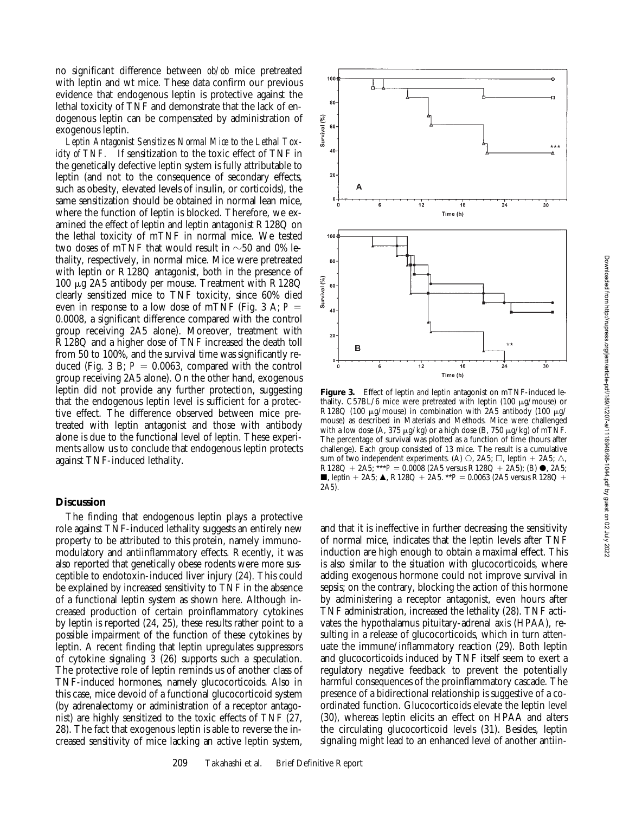Downloaded from http://rupress.org/jem/article-pdf/189/1/207-a/1118948/98-1044.pdf by guest on 02 July 2022

no significant difference between *ob/ob* mice pretreated with leptin and wt mice. These data confirm our previous evidence that endogenous leptin is protective against the lethal toxicity of TNF and demonstrate that the lack of endogenous leptin can be compensated by administration of exogenous leptin.

 $100$ 

80

40

 $20$ 

80

40

20

B

Survival (%) 60

Survival (%) 60

*Leptin Antagonist Sensitizes Normal Mice to the Lethal Toxicity of TNF.* If sensitization to the toxic effect of TNF in the genetically defective leptin system is fully attributable to leptin (and not to the consequence of secondary effects, such as obesity, elevated levels of insulin, or corticoids), the same sensitization should be obtained in normal lean mice, where the function of leptin is blocked. Therefore, we examined the effect of leptin and leptin antagonist R128Q on the lethal toxicity of mTNF in normal mice. We tested two doses of mTNF that would result in  $\sim$ 50 and 0% lethality, respectively, in normal mice. Mice were pretreated with leptin or R128Q antagonist, both in the presence of 100 mg 2A5 antibody per mouse. Treatment with R128Q clearly sensitized mice to TNF toxicity, since 60% died even in response to a low dose of mTNF (Fig. 3 A;  $P =$ 0.0008, a significant difference compared with the control group receiving 2A5 alone). Moreover, treatment with R128Q and a higher dose of TNF increased the death toll from 50 to 100%, and the survival time was significantly reduced (Fig. 3 B;  $P = 0.0063$ , compared with the control group receiving 2A5 alone). On the other hand, exogenous leptin did not provide any further protection, suggesting that the endogenous leptin level is sufficient for a protective effect. The difference observed between mice pretreated with leptin antagonist and those with antibody alone is due to the functional level of leptin. These experiments allow us to conclude that endogenous leptin protects against TNF-induced lethality.

## **Discussion**

The finding that endogenous leptin plays a protective role against TNF-induced lethality suggests an entirely new property to be attributed to this protein, namely immunomodulatory and antiinflammatory effects. Recently, it was also reported that genetically obese rodents were more susceptible to endotoxin-induced liver injury (24). This could be explained by increased sensitivity to TNF in the absence of a functional leptin system as shown here. Although increased production of certain proinflammatory cytokines by leptin is reported (24, 25), these results rather point to a possible impairment of the function of these cytokines by leptin. A recent finding that leptin upregulates suppressors of cytokine signaling 3 (26) supports such a speculation. The protective role of leptin reminds us of another class of TNF-induced hormones, namely glucocorticoids. Also in this case, mice devoid of a functional glucocorticoid system (by adrenalectomy or administration of a receptor antagonist) are highly sensitized to the toxic effects of TNF (27, 28). The fact that exogenous leptin is able to reverse the increased sensitivity of mice lacking an active leptin system,

**Figure 3.** Effect of leptin and leptin antagonist on mTNF-induced lethality. C57BL/6 mice were pretreated with leptin (100  $\mu$ g/mouse) or R128Q (100  $\mu$ g/mouse) in combination with 2A5 antibody (100  $\mu$ g/ mouse) as described in Materials and Methods. Mice were challenged with a low dose (A, 375  $\mu$ g/kg) or a high dose (B, 750  $\mu$ g/kg) of mTNF. The percentage of survival was plotted as a function of time (hours after challenge). Each group consisted of 13 mice. The result is a cumulative sum of two independent experiments. (A)  $\circ$ , 2A5;  $\Box$ , leptin + 2A5;  $\triangle$ ,  $R128Q + 2A5$ ; \*\*\* $P = 0.0008$  (2A5 versus R128Q + 2A5); (B)  $\bullet$ , 2A5; **j**, leptin + 2A5;  $\triangle$ , R128Q + 2A5. \*\**P* = 0.0063 (2A5 versus R128Q + 2A5).

 $\dot{12}$ 

 $\frac{1}{12}$ 

18

 $\overline{18}$ 

Time (h)

Time (h)

 $\overline{24}$ 

 $\overline{24}$ 

 $30$ 

 $\frac{1}{30}$ 

and that it is ineffective in further decreasing the sensitivity of normal mice, indicates that the leptin levels after TNF induction are high enough to obtain a maximal effect. This is also similar to the situation with glucocorticoids, where adding exogenous hormone could not improve survival in sepsis; on the contrary, blocking the action of this hormone by administering a receptor antagonist, even hours after TNF administration, increased the lethality (28). TNF activates the hypothalamus pituitary-adrenal axis (HPAA), resulting in a release of glucocorticoids, which in turn attenuate the immune/inflammatory reaction (29). Both leptin and glucocorticoids induced by TNF itself seem to exert a regulatory negative feedback to prevent the potentially harmful consequences of the proinflammatory cascade. The presence of a bidirectional relationship is suggestive of a coordinated function. Glucocorticoids elevate the leptin level (30), whereas leptin elicits an effect on HPAA and alters the circulating glucocorticoid levels (31). Besides, leptin signaling might lead to an enhanced level of another antiin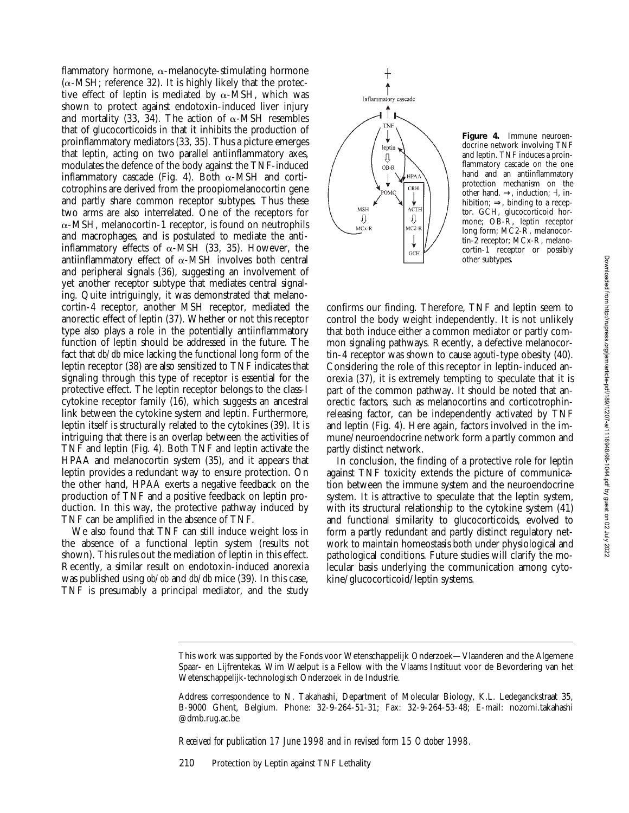flammatory hormone,  $\alpha$ -melanocyte-stimulating hormone  $(\alpha$ -MSH; reference 32). It is highly likely that the protective effect of leptin is mediated by  $\alpha$ -MSH, which was shown to protect against endotoxin-induced liver injury and mortality (33, 34). The action of  $\alpha$ -MSH resembles that of glucocorticoids in that it inhibits the production of proinflammatory mediators (33, 35). Thus a picture emerges that leptin, acting on two parallel antiinflammatory axes, modulates the defence of the body against the TNF-induced inflammatory cascade (Fig. 4). Both  $\alpha$ -MSH and corticotrophins are derived from the proopiomelanocortin gene and partly share common receptor subtypes. Thus these two arms are also interrelated. One of the receptors for  $\alpha$ -MSH, melanocortin-1 receptor, is found on neutrophils and macrophages, and is postulated to mediate the antiinflammatory effects of  $\alpha$ -MSH (33, 35). However, the antiinflammatory effect of  $\alpha$ -MSH involves both central and peripheral signals (36), suggesting an involvement of yet another receptor subtype that mediates central signaling. Quite intriguingly, it was demonstrated that melanocortin-4 receptor, another MSH receptor, mediated the anorectic effect of leptin (37). Whether or not this receptor type also plays a role in the potentially antiinflammatory function of leptin should be addressed in the future. The fact that *db/db* mice lacking the functional long form of the leptin receptor (38) are also sensitized to TNF indicates that signaling through this type of receptor is essential for the protective effect. The leptin receptor belongs to the class-I cytokine receptor family (16), which suggests an ancestral link between the cytokine system and leptin. Furthermore, leptin itself is structurally related to the cytokines (39). It is intriguing that there is an overlap between the activities of TNF and leptin (Fig. 4). Both TNF and leptin activate the HPAA and melanocortin system (35), and it appears that leptin provides a redundant way to ensure protection. On the other hand, HPAA exerts a negative feedback on the production of TNF and a positive feedback on leptin production. In this way, the protective pathway induced by TNF can be amplified in the absence of TNF.

We also found that TNF can still induce weight loss in the absence of a functional leptin system (results not shown). This rules out the mediation of leptin in this effect. Recently, a similar result on endotoxin-induced anorexia was published using *ob/ob* and *db/db* mice (39). In this case, TNF is presumably a principal mediator, and the study



**Figure 4.** Immune neuroendocrine network involving TNF and leptin. TNF induces a proinflammatory cascade on the one hand and an antiinflammatory protection mechanism on the other hand.  $\rightarrow$ , induction;  $\dashv$ , inhibition;  $\Rightarrow$ , binding to a receptor. GCH, glucocorticoid hormone; OB-R, leptin receptor long form; MC2-R, melanocortin-2 receptor; MCx-R, melanocortin-1 receptor or possibly other subtypes.

confirms our finding. Therefore, TNF and leptin seem to control the body weight independently. It is not unlikely that both induce either a common mediator or partly common signaling pathways. Recently, a defective melanocortin-4 receptor was shown to cause *agouti*-type obesity (40). Considering the role of this receptor in leptin-induced anorexia (37), it is extremely tempting to speculate that it is part of the common pathway. It should be noted that anorectic factors, such as melanocortins and corticotrophinreleasing factor, can be independently activated by TNF and leptin (Fig. 4). Here again, factors involved in the immune/neuroendocrine network form a partly common and partly distinct network.

In conclusion, the finding of a protective role for leptin against TNF toxicity extends the picture of communication between the immune system and the neuroendocrine system. It is attractive to speculate that the leptin system, with its structural relationship to the cytokine system (41) and functional similarity to glucocorticoids, evolved to form a partly redundant and partly distinct regulatory network to maintain homeostasis both under physiological and pathological conditions. Future studies will clarify the molecular basis underlying the communication among cytokine/glucocorticoid/leptin systems.

*Received for publication 17 June 1998 and in revised form 15 October 1998.*

210 Protection by Leptin against TNF Lethality

This work was supported by the Fonds voor Wetenschappelijk Onderzoek—Vlaanderen and the Algemene Spaar- en Lijfrentekas. Wim Waelput is a Fellow with the Vlaams Instituut voor de Bevordering van het Wetenschappelijk-technologisch Onderzoek in de Industrie.

Address correspondence to N. Takahashi, Department of Molecular Biology, K.L. Ledeganckstraat 35, B-9000 Ghent, Belgium. Phone: 32-9-264-51-31; Fax: 32-9-264-53-48; E-mail: nozomi.takahashi @dmb.rug.ac.be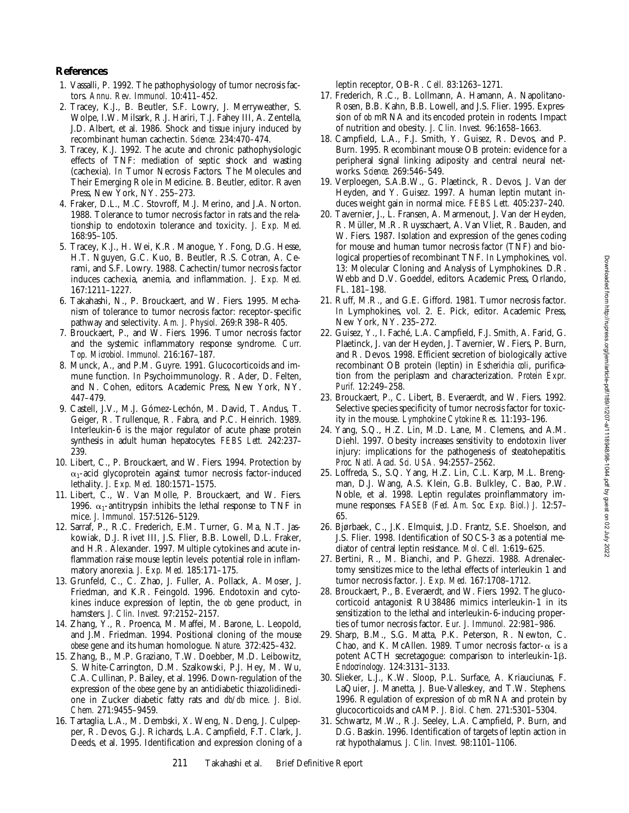## **References**

- 1. Vassalli, P. 1992. The pathophysiology of tumor necrosis factors. *Annu. Rev. Immunol.* 10:411–452.
- 2. Tracey, K.J., B. Beutler, S.F. Lowry, J. Merryweather, S. Wolpe, I.W. Milsark, R.J. Hariri, T.J. Fahey III, A. Zentella, J.D. Albert, et al. 1986. Shock and tissue injury induced by recombinant human cachectin. *Science.* 234:470–474.
- 3. Tracey, K.J. 1992. The acute and chronic pathophysiologic effects of TNF: mediation of septic shock and wasting (cachexia). *In* Tumor Necrosis Factors. The Molecules and Their Emerging Role in Medicine. B. Beutler, editor. Raven Press, New York, NY. 255–273.
- 4. Fraker, D.L., M.C. Stovroff, M.J. Merino, and J.A. Norton. 1988. Tolerance to tumor necrosis factor in rats and the relationship to endotoxin tolerance and toxicity. *J. Exp. Med.* 168:95–105.
- 5. Tracey, K.J., H. Wei, K.R. Manogue, Y. Fong, D.G. Hesse, H.T. Nguyen, G.C. Kuo, B. Beutler, R.S. Cotran, A. Cerami, and S.F. Lowry. 1988. Cachectin/tumor necrosis factor induces cachexia, anemia, and inflammation. *J. Exp. Med.* 167:1211–1227.
- 6. Takahashi, N., P. Brouckaert, and W. Fiers. 1995. Mechanism of tolerance to tumor necrosis factor: receptor-specific pathway and selectivity. *Am. J. Physiol.* 269:R398–R405.
- 7. Brouckaert, P., and W. Fiers. 1996. Tumor necrosis factor and the systemic inflammatory response syndrome. *Curr. Top. Microbiol. Immunol.* 216:167–187.
- 8. Munck, A., and P.M. Guyre. 1991. Glucocorticoids and immune function. *In* Psychoimmunology. R. Ader, D. Felten, and N. Cohen, editors. Academic Press, New York, NY. 447–479.
- 9. Castell, J.V., M.J. Gómez-Lechón, M. David, T. Andus, T. Geiger, R. Trullenque, R. Fabra, and P.C. Heinrich. 1989. Interleukin-6 is the major regulator of acute phase protein synthesis in adult human hepatocytes. *FEBS Lett.* 242:237– 239.
- 10. Libert, C., P. Brouckaert, and W. Fiers. 1994. Protection by  $\alpha_1$ -acid glycoprotein against tumor necrosis factor-induced lethality. *J. Exp. Med.* 180:1571–1575.
- 11. Libert, C., W. Van Molle, P. Brouckaert, and W. Fiers. 1996.  $\alpha_1$ -antitrypsin inhibits the lethal response to TNF in mice. *J. Immunol.* 157:5126–5129.
- 12. Sarraf, P., R.C. Frederich, E.M. Turner, G. Ma, N.T. Jaskowiak, D.J. Rivet III, J.S. Flier, B.B. Lowell, D.L. Fraker, and H.R. Alexander. 1997. Multiple cytokines and acute inflammation raise mouse leptin levels: potential role in inflammatory anorexia. *J. Exp. Med.* 185:171–175.
- 13. Grunfeld, C., C. Zhao, J. Fuller, A. Pollack, A. Moser, J. Friedman, and K.R. Feingold. 1996. Endotoxin and cytokines induce expression of leptin, the *ob* gene product, in hamsters. *J. Clin. Invest.* 97:2152–2157.
- 14. Zhang, Y., R. Proenca, M. Maffei, M. Barone, L. Leopold, and J.M. Friedman. 1994. Positional cloning of the mouse *obese* gene and its human homologue. *Nature.* 372:425–432.
- 15. Zhang, B., M.P. Graziano, T.W. Doebber, M.D. Leibowitz, S. White-Carrington, D.M. Szalkowski, P.J. Hey, M. Wu, C.A. Cullinan, P. Bailey, et al. 1996. Down-regulation of the expression of the *obese* gene by an antidiabetic thiazolidinedione in Zucker diabetic fatty rats and *db/db* mice. *J. Biol. Chem.* 271:9455–9459.
- 16. Tartaglia, L.A., M. Dembski, X. Weng, N. Deng, J. Culpepper, R. Devos, G.J. Richards, L.A. Campfield, F.T. Clark, J. Deeds, et al. 1995. Identification and expression cloning of a

leptin receptor, OB-R. *Cell.* 83:1263–1271.

- 17. Frederich, R.C., B. Lollmann, A. Hamann, A. Napolitano-Rosen, B.B. Kahn, B.B. Lowell, and J.S. Flier. 1995. Expression of *ob* mRNA and its encoded protein in rodents. Impact of nutrition and obesity. *J. Clin. Invest.* 96:1658–1663.
- 18. Campfield, L.A., F.J. Smith, Y. Guisez, R. Devos, and P. Burn. 1995. Recombinant mouse OB protein: evidence for a peripheral signal linking adiposity and central neural networks. *Science.* 269:546–549.
- 19. Verploegen, S.A.B.W., G. Plaetinck, R. Devos, J. Van der Heyden, and Y. Guisez. 1997. A human leptin mutant induces weight gain in normal mice. *FEBS Lett.* 405:237–240.
- 20. Tavernier, J., L. Fransen, A. Marmenout, J. Van der Heyden, R. Müller, M.R. Ruysschaert, A. Van Vliet, R. Bauden, and W. Fiers. 1987. Isolation and expression of the genes coding for mouse and human tumor necrosis factor (TNF) and biological properties of recombinant TNF. *In* Lymphokines, vol. 13: Molecular Cloning and Analysis of Lymphokines. D.R. Webb and D.V. Goeddel, editors. Academic Press, Orlando, FL. 181–198.
- 21. Ruff, M.R., and G.E. Gifford. 1981. Tumor necrosis factor. *In* Lymphokines, vol. 2. E. Pick, editor. Academic Press, New York, NY. 235–272.
- 22. Guisez, Y., I. Faché, L.A. Campfield, F.J. Smith, A. Farid, G. Plaetinck, J. van der Heyden, J. Tavernier, W. Fiers, P. Burn, and R. Devos. 1998. Efficient secretion of biologically active recombinant OB protein (leptin) in *Escherichia coli*, purification from the periplasm and characterization. *Protein Expr. Purif.* 12:249–258.
- 23. Brouckaert, P., C. Libert, B. Everaerdt, and W. Fiers. 1992. Selective species specificity of tumor necrosis factor for toxicity in the mouse. *Lymphokine Cytokine Res.* 11:193–196.
- 24. Yang, S.Q., H.Z. Lin, M.D. Lane, M. Clemens, and A.M. Diehl. 1997. Obesity increases sensitivity to endotoxin liver injury: implications for the pathogenesis of steatohepatitis. *Proc. Natl. Acad. Sci. USA.* 94:2557–2562.
- 25. Loffreda, S., S.Q. Yang, H.Z. Lin, C.L. Karp, M.L. Brengman, D.J. Wang, A.S. Klein, G.B. Bulkley, C. Bao, P.W. Noble, et al. 1998. Leptin regulates proinflammatory immune responses. *FASEB (Fed. Am. Soc. Exp. Biol.) J.* 12:57– 65.
- 26. Bjørbaek, C., J.K. Elmquist, J.D. Frantz, S.E. Shoelson, and J.S. Flier. 1998. Identification of SOCS-3 as a potential mediator of central leptin resistance. *Mol. Cell.* 1:619–625.
- 27. Bertini, R., M. Bianchi, and P. Ghezzi. 1988. Adrenalectomy sensitizes mice to the lethal effects of interleukin 1 and tumor necrosis factor. *J. Exp. Med.* 167:1708–1712.
- 28. Brouckaert, P., B. Everaerdt, and W. Fiers. 1992. The glucocorticoid antagonist RU38486 mimics interleukin-1 in its sensitization to the lethal and interleukin-6-inducing properties of tumor necrosis factor. *Eur. J. Immunol.* 22:981–986.
- 29. Sharp, B.M., S.G. Matta, P.K. Peterson, R. Newton, C. Chao, and K. McAllen. 1989. Tumor necrosis factor- $\alpha$  is a potent ACTH secretagogue: comparison to interleukin-1 $\beta$ . *Endocrinology.* 124:3131–3133.
- 30. Slieker, L.J., K.W. Sloop, P.L. Surface, A. Kriauciunas, F. LaQuier, J. Manetta, J. Bue-Valleskey, and T.W. Stephens. 1996. Regulation of expression of *ob* mRNA and protein by glucocorticoids and cAMP. *J. Biol. Chem.* 271:5301–5304.
- 31. Schwartz, M.W., R.J. Seeley, L.A. Campfield, P. Burn, and D.G. Baskin. 1996. Identification of targets of leptin action in rat hypothalamus. *J. Clin. Invest.* 98:1101–1106.